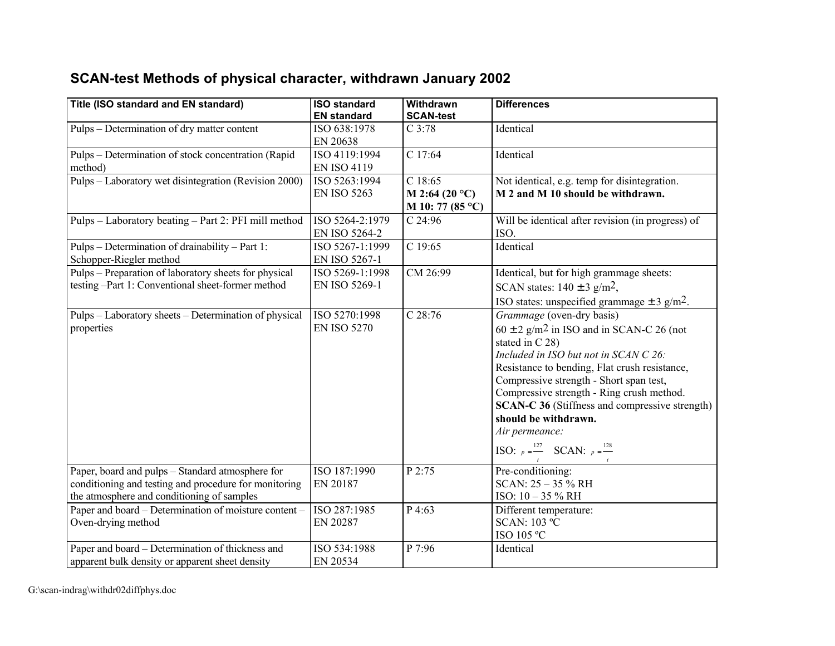## **SCAN-test Methods of physical character, withdrawn January 2002**

| Title (ISO standard and EN standard)                                                                                                                    | <b>ISO standard</b><br><b>EN standard</b> | Withdrawn<br><b>SCAN-test</b>                          | <b>Differences</b>                                                                                                                                                                                                                                                                                                                                                                                                                                                |
|---------------------------------------------------------------------------------------------------------------------------------------------------------|-------------------------------------------|--------------------------------------------------------|-------------------------------------------------------------------------------------------------------------------------------------------------------------------------------------------------------------------------------------------------------------------------------------------------------------------------------------------------------------------------------------------------------------------------------------------------------------------|
| Pulps – Determination of dry matter content                                                                                                             | ISO 638:1978<br>EN 20638                  | $C$ 3:78                                               | Identical                                                                                                                                                                                                                                                                                                                                                                                                                                                         |
| Pulps – Determination of stock concentration (Rapid<br>method)                                                                                          | ISO 4119:1994<br><b>EN ISO 4119</b>       | C 17:64                                                | Identical                                                                                                                                                                                                                                                                                                                                                                                                                                                         |
| Pulps – Laboratory wet disintegration (Revision 2000)                                                                                                   | ISO 5263:1994<br><b>EN ISO 5263</b>       | C18:65<br>M 2:64 (20 $^{\circ}$ C)<br>M 10: 77 (85 °C) | Not identical, e.g. temp for disintegration.<br>M 2 and M 10 should be withdrawn.                                                                                                                                                                                                                                                                                                                                                                                 |
| Pulps - Laboratory beating - Part 2: PFI mill method                                                                                                    | ISO 5264-2:1979<br>EN ISO 5264-2          | $C$ 24:96                                              | Will be identical after revision (in progress) of<br>ISO.                                                                                                                                                                                                                                                                                                                                                                                                         |
| Pulps - Determination of drainability - Part 1:<br>Schopper-Riegler method                                                                              | ISO 5267-1:1999<br>EN ISO 5267-1          | C 19:65                                                | Identical                                                                                                                                                                                                                                                                                                                                                                                                                                                         |
| Pulps – Preparation of laboratory sheets for physical<br>testing -Part 1: Conventional sheet-former method                                              | ISO 5269-1:1998<br>EN ISO 5269-1          | CM 26:99                                               | Identical, but for high grammage sheets:<br>SCAN states: $140 \pm 3$ g/m <sup>2</sup> ,<br>ISO states: unspecified grammage $\pm$ 3 g/m <sup>2</sup> .                                                                                                                                                                                                                                                                                                            |
| Pulps – Laboratory sheets – Determination of physical<br>properties                                                                                     | ISO 5270:1998<br><b>EN ISO 5270</b>       | $C$ 28:76                                              | Grammage (oven-dry basis)<br>$60 \pm 2$ g/m <sup>2</sup> in ISO and in SCAN-C 26 (not<br>stated in C 28)<br>Included in ISO but not in SCAN C 26:<br>Resistance to bending, Flat crush resistance,<br>Compressive strength - Short span test,<br>Compressive strength - Ring crush method.<br><b>SCAN-C 36 (Stiffness and compressive strength)</b><br>should be withdrawn.<br>Air permeance:<br><b>ISO:</b> $p = \frac{127}{ }$ <b>SCAN:</b> $p = \frac{128}{ }$ |
| Paper, board and pulps - Standard atmosphere for<br>conditioning and testing and procedure for monitoring<br>the atmosphere and conditioning of samples | ISO 187:1990<br>EN 20187                  | P 2:75                                                 | Pre-conditioning:<br>SCAN: 25 - 35 % RH<br>ISO: 10 - 35 % RH                                                                                                                                                                                                                                                                                                                                                                                                      |
| Paper and board - Determination of moisture content -<br>Oven-drying method                                                                             | ISO 287:1985<br>EN 20287                  | P 4:63                                                 | Different temperature:<br><b>SCAN: 103 °C</b><br>ISO 105 °C                                                                                                                                                                                                                                                                                                                                                                                                       |
| Paper and board - Determination of thickness and<br>apparent bulk density or apparent sheet density                                                     | ISO 534:1988<br>EN 20534                  | P 7:96                                                 | Identical                                                                                                                                                                                                                                                                                                                                                                                                                                                         |

G:\scan-indrag\withdr02diffphys.doc